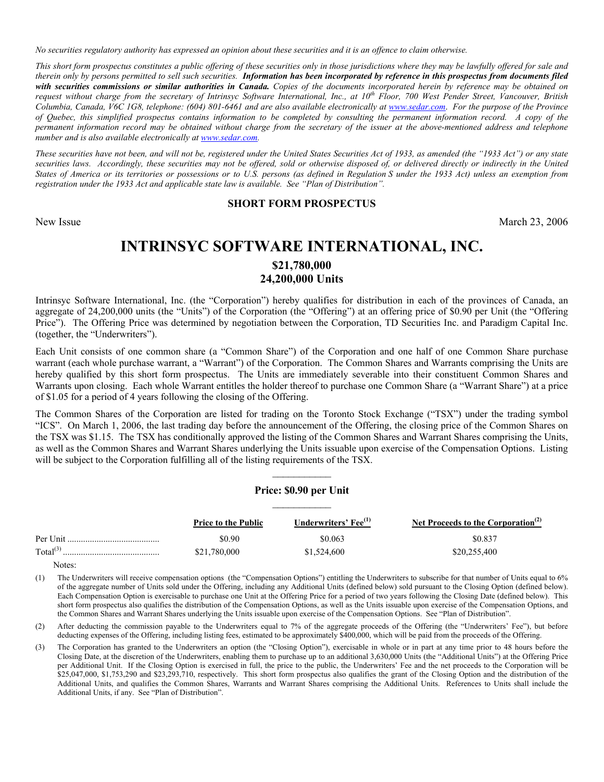*No securities regulatory authority has expressed an opinion about these securities and it is an offence to claim otherwise.* 

*This short form prospectus constitutes a public offering of these securities only in those jurisdictions where they may be lawfully offered for sale and therein only by persons permitted to sell such securities. Information has been incorporated by reference in this prospectus from documents filed with securities commissions or similar authorities in Canada. Copies of the documents incorporated herein by reference may be obtained on request without charge from the secretary of Intrinsyc Software International, Inc., at 10th Floor, 700 West Pender Street, Vancouver, British Columbia, Canada, V6C 1G8, telephone: (604) 801-6461 and are also available electronically at www.sedar.com*. *For the purpose of the Province of Quebec, this simplified prospectus contains information to be completed by consulting the permanent information record. A copy of the permanent information record may be obtained without charge from the secretary of the issuer at the above-mentioned address and telephone number and is also available electronically at www.sedar.com.* 

*These securities have not been, and will not be, registered under the United States Securities Act of 1933, as amended (the "1933 Act") or any state securities laws. Accordingly, these securities may not be offered, sold or otherwise disposed of, or delivered directly or indirectly in the United States of America or its territories or possessions or to U.S. persons (as defined in Regulation S under the 1933 Act) unless an exemption from registration under the 1933 Act and applicable state law is available. See "Plan of Distribution".* 

**SHORT FORM PROSPECTUS** 

New Issue March 23, 2006

# **INTRINSYC SOFTWARE INTERNATIONAL, INC. \$21,780,000 24,200,000 Units**

Intrinsyc Software International, Inc. (the "Corporation") hereby qualifies for distribution in each of the provinces of Canada, an aggregate of 24,200,000 units (the "Units") of the Corporation (the "Offering") at an offering price of \$0.90 per Unit (the "Offering Price"). The Offering Price was determined by negotiation between the Corporation, TD Securities Inc. and Paradigm Capital Inc. (together, the "Underwriters").

Each Unit consists of one common share (a "Common Share") of the Corporation and one half of one Common Share purchase warrant (each whole purchase warrant, a "Warrant") of the Corporation. The Common Shares and Warrants comprising the Units are hereby qualified by this short form prospectus. The Units are immediately severable into their constituent Common Shares and Warrants upon closing. Each whole Warrant entitles the holder thereof to purchase one Common Share (a "Warrant Share") at a price of \$1.05 for a period of 4 years following the closing of the Offering.

The Common Shares of the Corporation are listed for trading on the Toronto Stock Exchange ("TSX") under the trading symbol "ICS". On March 1, 2006, the last trading day before the announcement of the Offering, the closing price of the Common Shares on the TSX was \$1.15. The TSX has conditionally approved the listing of the Common Shares and Warrant Shares comprising the Units, as well as the Common Shares and Warrant Shares underlying the Units issuable upon exercise of the Compensation Options. Listing will be subject to the Corporation fulfilling all of the listing requirements of the TSX.

# $\mathcal{L}_\text{max}$  **Price: \$0.90 per Unit**

|                      | <b>Price to the Public</b> | Underwriters' Fee <sup>(1)</sup> | Net Proceeds to the Corporation <sup>(2)</sup> |
|----------------------|----------------------------|----------------------------------|------------------------------------------------|
| Per Unit             | \$0.90                     | \$0.063                          | \$0.837                                        |
| Total <sup>(3)</sup> | \$21,780,000               | \$1,524,600                      | \$20,255,400                                   |

Notes:

(1) The Underwriters will receive compensation options (the "Compensation Options") entitling the Underwriters to subscribe for that number of Units equal to 6% of the aggregate number of Units sold under the Offering, including any Additional Units (defined below) sold pursuant to the Closing Option (defined below). Each Compensation Option is exercisable to purchase one Unit at the Offering Price for a period of two years following the Closing Date (defined below). This short form prospectus also qualifies the distribution of the Compensation Options, as well as the Units issuable upon exercise of the Compensation Options, and the Common Shares and Warrant Shares underlying the Units issuable upon exercise of the Compensation Options. See "Plan of Distribution".

(2) After deducting the commission payable to the Underwriters equal to 7% of the aggregate proceeds of the Offering (the "Underwriters' Fee"), but before deducting expenses of the Offering, including listing fees, estimated to be approximately \$400,000, which will be paid from the proceeds of the Offering.

(3) The Corporation has granted to the Underwriters an option (the "Closing Option"), exercisable in whole or in part at any time prior to 48 hours before the Closing Date, at the discretion of the Underwriters, enabling them to purchase up to an additional 3,630,000 Units (the "Additional Units") at the Offering Price per Additional Unit. If the Closing Option is exercised in full, the price to the public, the Underwriters' Fee and the net proceeds to the Corporation will be \$25,047,000, \$1,753,290 and \$23,293,710, respectively. This short form prospectus also qualifies the grant of the Closing Option and the distribution of the Additional Units, and qualifies the Common Shares, Warrants and Warrant Shares comprising the Additional Units. References to Units shall include the Additional Units, if any. See "Plan of Distribution".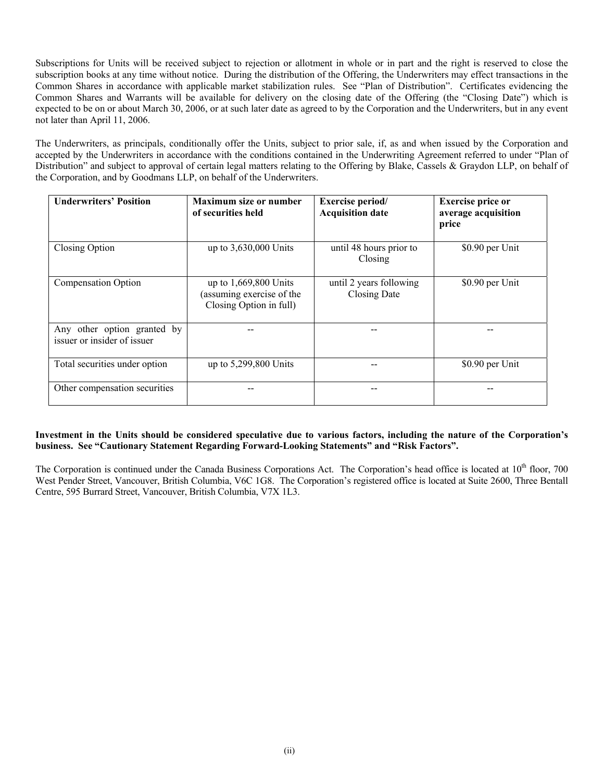Subscriptions for Units will be received subject to rejection or allotment in whole or in part and the right is reserved to close the subscription books at any time without notice. During the distribution of the Offering, the Underwriters may effect transactions in the Common Shares in accordance with applicable market stabilization rules. See "Plan of Distribution". Certificates evidencing the Common Shares and Warrants will be available for delivery on the closing date of the Offering (the "Closing Date") which is expected to be on or about March 30, 2006, or at such later date as agreed to by the Corporation and the Underwriters, but in any event not later than April 11, 2006.

The Underwriters, as principals, conditionally offer the Units, subject to prior sale, if, as and when issued by the Corporation and accepted by the Underwriters in accordance with the conditions contained in the Underwriting Agreement referred to under "Plan of Distribution" and subject to approval of certain legal matters relating to the Offering by Blake, Cassels & Graydon LLP, on behalf of the Corporation, and by Goodmans LLP, on behalf of the Underwriters.

| <b>Underwriters' Position</b>                              | <b>Maximum size or number</b><br>of securities held                           | Exercise period/<br><b>Acquisition date</b>    | <b>Exercise price or</b><br>average acquisition<br>price |
|------------------------------------------------------------|-------------------------------------------------------------------------------|------------------------------------------------|----------------------------------------------------------|
| Closing Option                                             | up to $3,630,000$ Units                                                       | until 48 hours prior to<br>Closing             | \$0.90 per Unit                                          |
| Compensation Option                                        | up to 1,669,800 Units<br>(assuming exercise of the<br>Closing Option in full) | until 2 years following<br><b>Closing Date</b> | \$0.90 per Unit                                          |
| Any other option granted by<br>issuer or insider of issuer |                                                                               |                                                |                                                          |
| Total securities under option                              | up to 5,299,800 Units                                                         |                                                | \$0.90 per Unit                                          |
| Other compensation securities                              |                                                                               |                                                |                                                          |

# **Investment in the Units should be considered speculative due to various factors, including the nature of the Corporation's business. See "Cautionary Statement Regarding Forward-Looking Statements" and "Risk Factors".**

The Corporation is continued under the Canada Business Corporations Act. The Corporation's head office is located at 10<sup>th</sup> floor, 700 West Pender Street, Vancouver, British Columbia, V6C 1G8. The Corporation's registered office is located at Suite 2600, Three Bentall Centre, 595 Burrard Street, Vancouver, British Columbia, V7X 1L3.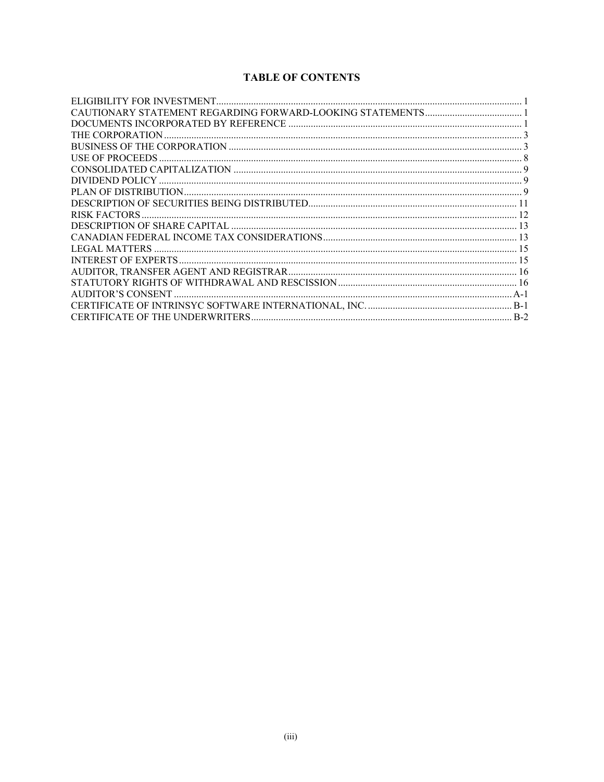# **TABLE OF CONTENTS**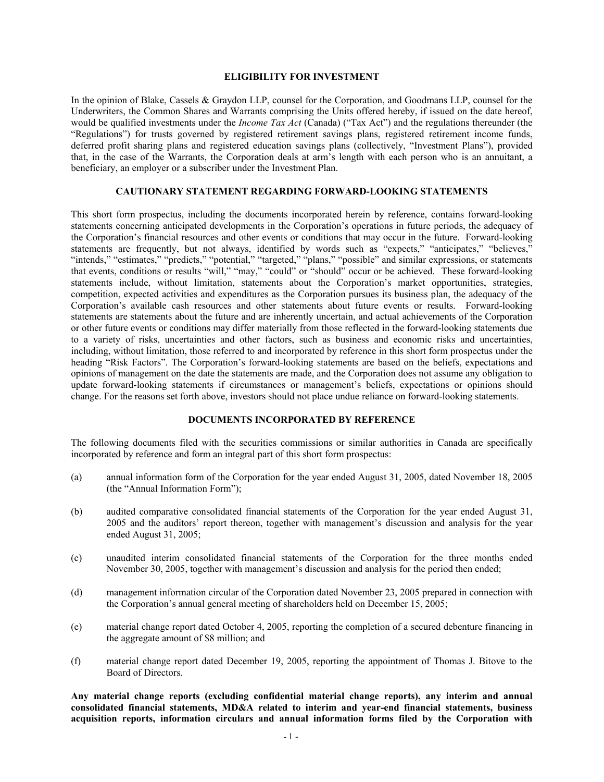### **ELIGIBILITY FOR INVESTMENT**

In the opinion of Blake, Cassels & Graydon LLP, counsel for the Corporation, and Goodmans LLP, counsel for the Underwriters, the Common Shares and Warrants comprising the Units offered hereby, if issued on the date hereof, would be qualified investments under the *Income Tax Act* (Canada) ("Tax Act") and the regulations thereunder (the "Regulations") for trusts governed by registered retirement savings plans, registered retirement income funds, deferred profit sharing plans and registered education savings plans (collectively, "Investment Plans"), provided that, in the case of the Warrants, the Corporation deals at arm's length with each person who is an annuitant, a beneficiary, an employer or a subscriber under the Investment Plan.

# **CAUTIONARY STATEMENT REGARDING FORWARD-LOOKING STATEMENTS**

This short form prospectus, including the documents incorporated herein by reference, contains forward-looking statements concerning anticipated developments in the Corporation's operations in future periods, the adequacy of the Corporation's financial resources and other events or conditions that may occur in the future. Forward-looking statements are frequently, but not always, identified by words such as "expects," "anticipates," "believes," "intends," "estimates," "predicts," "potential," "targeted," "plans," "possible" and similar expressions, or statements that events, conditions or results "will," "may," "could" or "should" occur or be achieved. These forward-looking statements include, without limitation, statements about the Corporation's market opportunities, strategies, competition, expected activities and expenditures as the Corporation pursues its business plan, the adequacy of the Corporation's available cash resources and other statements about future events or results. Forward-looking statements are statements about the future and are inherently uncertain, and actual achievements of the Corporation or other future events or conditions may differ materially from those reflected in the forward-looking statements due to a variety of risks, uncertainties and other factors, such as business and economic risks and uncertainties, including, without limitation, those referred to and incorporated by reference in this short form prospectus under the heading "Risk Factors". The Corporation's forward-looking statements are based on the beliefs, expectations and opinions of management on the date the statements are made, and the Corporation does not assume any obligation to update forward-looking statements if circumstances or management's beliefs, expectations or opinions should change. For the reasons set forth above, investors should not place undue reliance on forward-looking statements.

### **DOCUMENTS INCORPORATED BY REFERENCE**

The following documents filed with the securities commissions or similar authorities in Canada are specifically incorporated by reference and form an integral part of this short form prospectus:

- (a) annual information form of the Corporation for the year ended August 31, 2005, dated November 18, 2005 (the "Annual Information Form");
- (b) audited comparative consolidated financial statements of the Corporation for the year ended August 31, 2005 and the auditors' report thereon, together with management's discussion and analysis for the year ended August 31, 2005;
- (c) unaudited interim consolidated financial statements of the Corporation for the three months ended November 30, 2005, together with management's discussion and analysis for the period then ended;
- (d) management information circular of the Corporation dated November 23, 2005 prepared in connection with the Corporation's annual general meeting of shareholders held on December 15, 2005;
- (e) material change report dated October 4, 2005, reporting the completion of a secured debenture financing in the aggregate amount of \$8 million; and
- (f) material change report dated December 19, 2005, reporting the appointment of Thomas J. Bitove to the Board of Directors.

**Any material change reports (excluding confidential material change reports), any interim and annual consolidated financial statements, MD&A related to interim and year-end financial statements, business acquisition reports, information circulars and annual information forms filed by the Corporation with**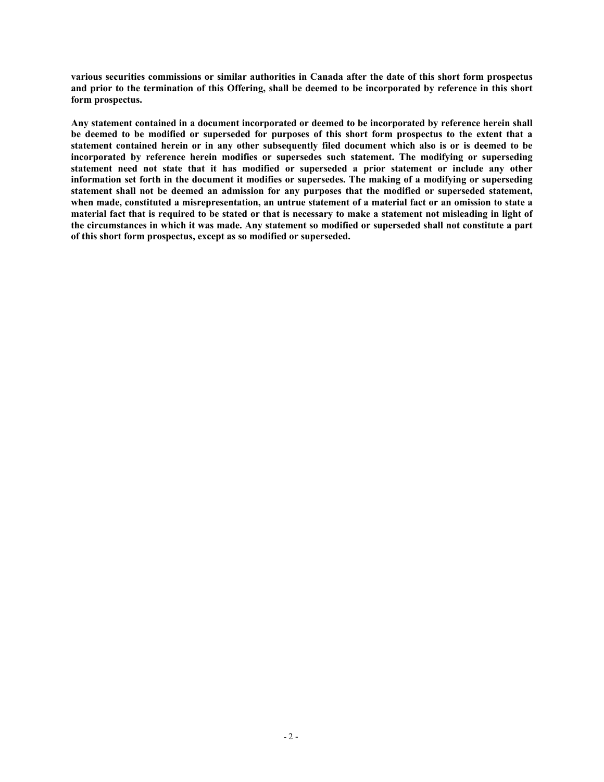**various securities commissions or similar authorities in Canada after the date of this short form prospectus and prior to the termination of this Offering, shall be deemed to be incorporated by reference in this short form prospectus.** 

**Any statement contained in a document incorporated or deemed to be incorporated by reference herein shall be deemed to be modified or superseded for purposes of this short form prospectus to the extent that a statement contained herein or in any other subsequently filed document which also is or is deemed to be incorporated by reference herein modifies or supersedes such statement. The modifying or superseding statement need not state that it has modified or superseded a prior statement or include any other information set forth in the document it modifies or supersedes. The making of a modifying or superseding statement shall not be deemed an admission for any purposes that the modified or superseded statement, when made, constituted a misrepresentation, an untrue statement of a material fact or an omission to state a material fact that is required to be stated or that is necessary to make a statement not misleading in light of the circumstances in which it was made. Any statement so modified or superseded shall not constitute a part of this short form prospectus, except as so modified or superseded.**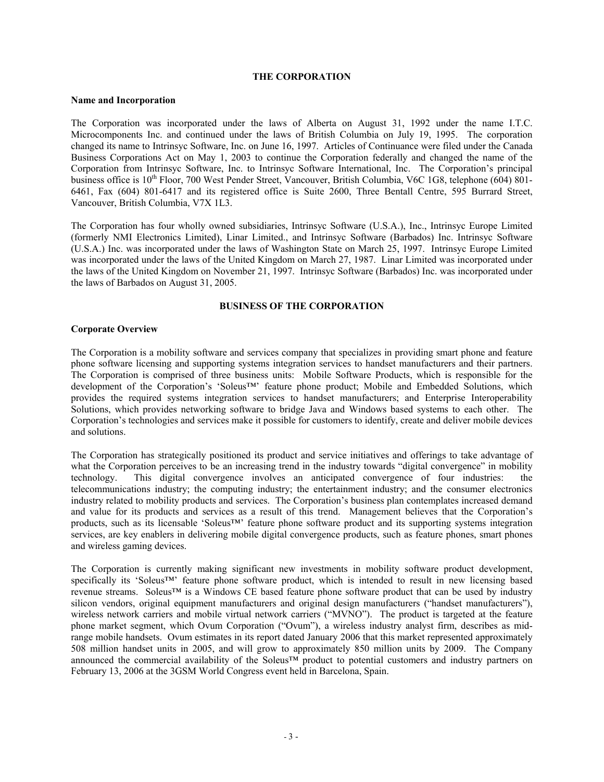### **THE CORPORATION**

### **Name and Incorporation**

The Corporation was incorporated under the laws of Alberta on August 31, 1992 under the name I.T.C. Microcomponents Inc. and continued under the laws of British Columbia on July 19, 1995. The corporation changed its name to Intrinsyc Software, Inc. on June 16, 1997. Articles of Continuance were filed under the Canada Business Corporations Act on May 1, 2003 to continue the Corporation federally and changed the name of the Corporation from Intrinsyc Software, Inc. to Intrinsyc Software International, Inc. The Corporation's principal business office is 10<sup>th</sup> Floor, 700 West Pender Street, Vancouver, British Columbia, V6C 1G8, telephone (604) 801-6461, Fax (604) 801-6417 and its registered office is Suite 2600, Three Bentall Centre, 595 Burrard Street, Vancouver, British Columbia, V7X 1L3.

The Corporation has four wholly owned subsidiaries, Intrinsyc Software (U.S.A.), Inc., Intrinsyc Europe Limited (formerly NMI Electronics Limited), Linar Limited., and Intrinsyc Software (Barbados) Inc. Intrinsyc Software (U.S.A.) Inc. was incorporated under the laws of Washington State on March 25, 1997. Intrinsyc Europe Limited was incorporated under the laws of the United Kingdom on March 27, 1987. Linar Limited was incorporated under the laws of the United Kingdom on November 21, 1997. Intrinsyc Software (Barbados) Inc. was incorporated under the laws of Barbados on August 31, 2005.

# **BUSINESS OF THE CORPORATION**

### **Corporate Overview**

The Corporation is a mobility software and services company that specializes in providing smart phone and feature phone software licensing and supporting systems integration services to handset manufacturers and their partners. The Corporation is comprised of three business units: Mobile Software Products, which is responsible for the development of the Corporation's 'Soleus™' feature phone product; Mobile and Embedded Solutions, which provides the required systems integration services to handset manufacturers; and Enterprise Interoperability Solutions, which provides networking software to bridge Java and Windows based systems to each other. The Corporation's technologies and services make it possible for customers to identify, create and deliver mobile devices and solutions.

The Corporation has strategically positioned its product and service initiatives and offerings to take advantage of what the Corporation perceives to be an increasing trend in the industry towards "digital convergence" in mobility technology. This digital convergence involves an anticipated convergence of four industries: the telecommunications industry; the computing industry; the entertainment industry; and the consumer electronics industry related to mobility products and services. The Corporation's business plan contemplates increased demand and value for its products and services as a result of this trend. Management believes that the Corporation's products, such as its licensable 'Soleus™' feature phone software product and its supporting systems integration services, are key enablers in delivering mobile digital convergence products, such as feature phones, smart phones and wireless gaming devices.

The Corporation is currently making significant new investments in mobility software product development, specifically its 'Soleus™' feature phone software product, which is intended to result in new licensing based revenue streams. Soleus™ is a Windows CE based feature phone software product that can be used by industry silicon vendors, original equipment manufacturers and original design manufacturers ("handset manufacturers"), wireless network carriers and mobile virtual network carriers ("MVNO"). The product is targeted at the feature phone market segment, which Ovum Corporation ("Ovum"), a wireless industry analyst firm, describes as midrange mobile handsets. Ovum estimates in its report dated January 2006 that this market represented approximately 508 million handset units in 2005, and will grow to approximately 850 million units by 2009. The Company announced the commercial availability of the Soleus™ product to potential customers and industry partners on February 13, 2006 at the 3GSM World Congress event held in Barcelona, Spain.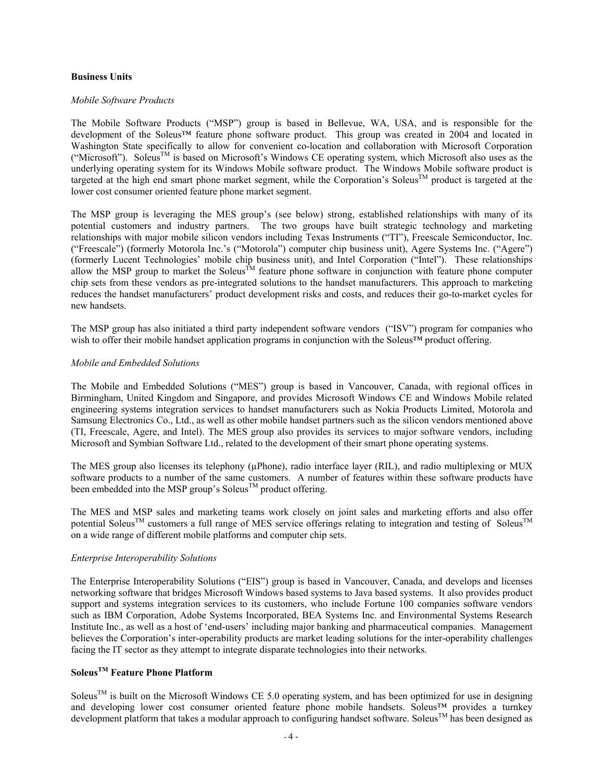### **Business Units**

### *Mobile Software Products*

The Mobile Software Products ("MSP") group is based in Bellevue, WA, USA, and is responsible for the development of the Soleus™ feature phone software product. This group was created in 2004 and located in Washington State specifically to allow for convenient co-location and collaboration with Microsoft Corporation ("Microsoft"). SoleusTM is based on Microsoft's Windows CE operating system, which Microsoft also uses as the underlying operating system for its Windows Mobile software product. The Windows Mobile software product is targeted at the high end smart phone market segment, while the Corporation's Soleus<sup>TM</sup> product is targeted at the lower cost consumer oriented feature phone market segment.

The MSP group is leveraging the MES group's (see below) strong, established relationships with many of its potential customers and industry partners. The two groups have built strategic technology and marketing relationships with major mobile silicon vendors including Texas Instruments ("TI"), Freescale Semiconductor, Inc. ("Freescale") (formerly Motorola Inc.'s ("Motorola") computer chip business unit), Agere Systems Inc. ("Agere") (formerly Lucent Technologies' mobile chip business unit), and Intel Corporation ("Intel"). These relationships allow the MSP group to market the Soleus<sup>TM</sup> feature phone software in conjunction with feature phone computer chip sets from these vendors as pre-integrated solutions to the handset manufacturers. This approach to marketing reduces the handset manufacturers' product development risks and costs, and reduces their go-to-market cycles for new handsets.

The MSP group has also initiated a third party independent software vendors ("ISV") program for companies who wish to offer their mobile handset application programs in conjunction with the Soleus™ product offering.

# *Mobile and Embedded Solutions*

The Mobile and Embedded Solutions ("MES") group is based in Vancouver, Canada, with regional offices in Birmingham, United Kingdom and Singapore, and provides Microsoft Windows CE and Windows Mobile related engineering systems integration services to handset manufacturers such as Nokia Products Limited, Motorola and Samsung Electronics Co., Ltd., as well as other mobile handset partners such as the silicon vendors mentioned above (TI, Freescale, Agere, and Intel). The MES group also provides its services to major software vendors, including Microsoft and Symbian Software Ltd., related to the development of their smart phone operating systems.

The MES group also licenses its telephony (µPhone), radio interface layer (RIL), and radio multiplexing or MUX software products to a number of the same customers. A number of features within these software products have been embedded into the MSP group's Soleus<sup>TM</sup> product offering.

The MES and MSP sales and marketing teams work closely on joint sales and marketing efforts and also offer potential Soleus<sup>TM</sup> customers a full range of MES service offerings relating to integration and testing of Soleus<sup>TM</sup> on a wide range of different mobile platforms and computer chip sets.

### *Enterprise Interoperability Solutions*

The Enterprise Interoperability Solutions ("EIS") group is based in Vancouver, Canada, and develops and licenses networking software that bridges Microsoft Windows based systems to Java based systems. It also provides product support and systems integration services to its customers, who include Fortune 100 companies software vendors such as IBM Corporation, Adobe Systems Incorporated, BEA Systems Inc. and Environmental Systems Research Institute Inc., as well as a host of 'end-users' including major banking and pharmaceutical companies. Management believes the Corporation's inter-operability products are market leading solutions for the inter-operability challenges facing the IT sector as they attempt to integrate disparate technologies into their networks.

# **SoleusTM Feature Phone Platform**

Soleus<sup>TM</sup> is built on the Microsoft Windows CE 5.0 operating system, and has been optimized for use in designing and developing lower cost consumer oriented feature phone mobile handsets. Soleus™ provides a turnkey development platform that takes a modular approach to configuring handset software. Soleus<sup>TM</sup> has been designed as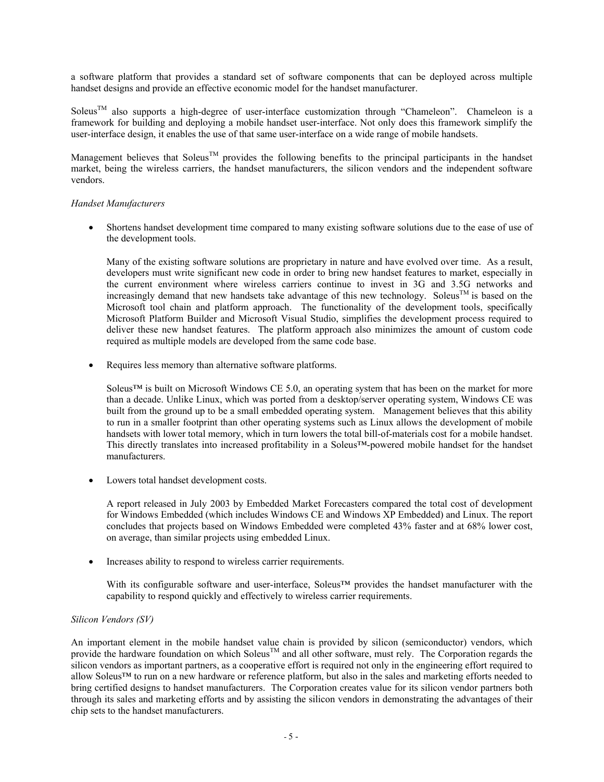a software platform that provides a standard set of software components that can be deployed across multiple handset designs and provide an effective economic model for the handset manufacturer.

Soleus<sup>TM</sup> also supports a high-degree of user-interface customization through "Chameleon". Chameleon is a framework for building and deploying a mobile handset user-interface. Not only does this framework simplify the user-interface design, it enables the use of that same user-interface on a wide range of mobile handsets.

Management believes that Soleus<sup>TM</sup> provides the following benefits to the principal participants in the handset market, being the wireless carriers, the handset manufacturers, the silicon vendors and the independent software vendors.

# *Handset Manufacturers*

• Shortens handset development time compared to many existing software solutions due to the ease of use of the development tools.

Many of the existing software solutions are proprietary in nature and have evolved over time. As a result, developers must write significant new code in order to bring new handset features to market, especially in the current environment where wireless carriers continue to invest in 3G and 3.5G networks and increasingly demand that new handsets take advantage of this new technology. Soleus<sup>TM</sup> is based on the Microsoft tool chain and platform approach. The functionality of the development tools, specifically Microsoft Platform Builder and Microsoft Visual Studio, simplifies the development process required to deliver these new handset features. The platform approach also minimizes the amount of custom code required as multiple models are developed from the same code base.

Requires less memory than alternative software platforms.

Soleus™ is built on Microsoft Windows CE 5.0, an operating system that has been on the market for more than a decade. Unlike Linux, which was ported from a desktop/server operating system, Windows CE was built from the ground up to be a small embedded operating system. Management believes that this ability to run in a smaller footprint than other operating systems such as Linux allows the development of mobile handsets with lower total memory, which in turn lowers the total bill-of-materials cost for a mobile handset. This directly translates into increased profitability in a Soleus™-powered mobile handset for the handset manufacturers.

• Lowers total handset development costs.

A report released in July 2003 by Embedded Market Forecasters compared the total cost of development for Windows Embedded (which includes Windows CE and Windows XP Embedded) and Linux. The report concludes that projects based on Windows Embedded were completed 43% faster and at 68% lower cost, on average, than similar projects using embedded Linux.

• Increases ability to respond to wireless carrier requirements.

With its configurable software and user-interface, Soleus™ provides the handset manufacturer with the capability to respond quickly and effectively to wireless carrier requirements.

# *Silicon Vendors (SV)*

An important element in the mobile handset value chain is provided by silicon (semiconductor) vendors, which provide the hardware foundation on which Soleus<sup>TM</sup> and all other software, must rely. The Corporation regards the silicon vendors as important partners, as a cooperative effort is required not only in the engineering effort required to allow Soleus™ to run on a new hardware or reference platform, but also in the sales and marketing efforts needed to bring certified designs to handset manufacturers. The Corporation creates value for its silicon vendor partners both through its sales and marketing efforts and by assisting the silicon vendors in demonstrating the advantages of their chip sets to the handset manufacturers.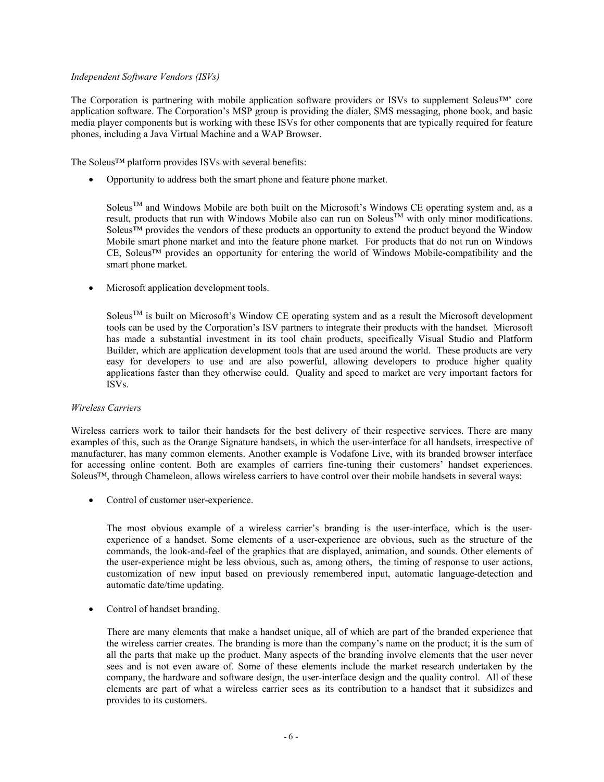### *Independent Software Vendors (ISVs)*

The Corporation is partnering with mobile application software providers or ISVs to supplement Soleus™' core application software. The Corporation's MSP group is providing the dialer, SMS messaging, phone book, and basic media player components but is working with these ISVs for other components that are typically required for feature phones, including a Java Virtual Machine and a WAP Browser.

The Soleus™ platform provides ISVs with several benefits:

• Opportunity to address both the smart phone and feature phone market.

Soleus<sup>TM</sup> and Windows Mobile are both built on the Microsoft's Windows CE operating system and, as a result, products that run with Windows Mobile also can run on Soleus<sup>TM</sup> with only minor modifications. Soleus<sup>™</sup> provides the vendors of these products an opportunity to extend the product beyond the Window Mobile smart phone market and into the feature phone market. For products that do not run on Windows CE, Soleus™ provides an opportunity for entering the world of Windows Mobile-compatibility and the smart phone market.

Microsoft application development tools.

Soleus<sup>TM</sup> is built on Microsoft's Window CE operating system and as a result the Microsoft development tools can be used by the Corporation's ISV partners to integrate their products with the handset. Microsoft has made a substantial investment in its tool chain products, specifically Visual Studio and Platform Builder, which are application development tools that are used around the world. These products are very easy for developers to use and are also powerful, allowing developers to produce higher quality applications faster than they otherwise could. Quality and speed to market are very important factors for ISVs.

# *Wireless Carriers*

Wireless carriers work to tailor their handsets for the best delivery of their respective services. There are many examples of this, such as the Orange Signature handsets, in which the user-interface for all handsets, irrespective of manufacturer, has many common elements. Another example is Vodafone Live, with its branded browser interface for accessing online content. Both are examples of carriers fine-tuning their customers' handset experiences. Soleus™, through Chameleon, allows wireless carriers to have control over their mobile handsets in several ways:

• Control of customer user-experience.

The most obvious example of a wireless carrier's branding is the user-interface, which is the userexperience of a handset. Some elements of a user-experience are obvious, such as the structure of the commands, the look-and-feel of the graphics that are displayed, animation, and sounds. Other elements of the user-experience might be less obvious, such as, among others, the timing of response to user actions, customization of new input based on previously remembered input, automatic language-detection and automatic date/time updating.

• Control of handset branding.

There are many elements that make a handset unique, all of which are part of the branded experience that the wireless carrier creates. The branding is more than the company's name on the product; it is the sum of all the parts that make up the product. Many aspects of the branding involve elements that the user never sees and is not even aware of. Some of these elements include the market research undertaken by the company, the hardware and software design, the user-interface design and the quality control. All of these elements are part of what a wireless carrier sees as its contribution to a handset that it subsidizes and provides to its customers.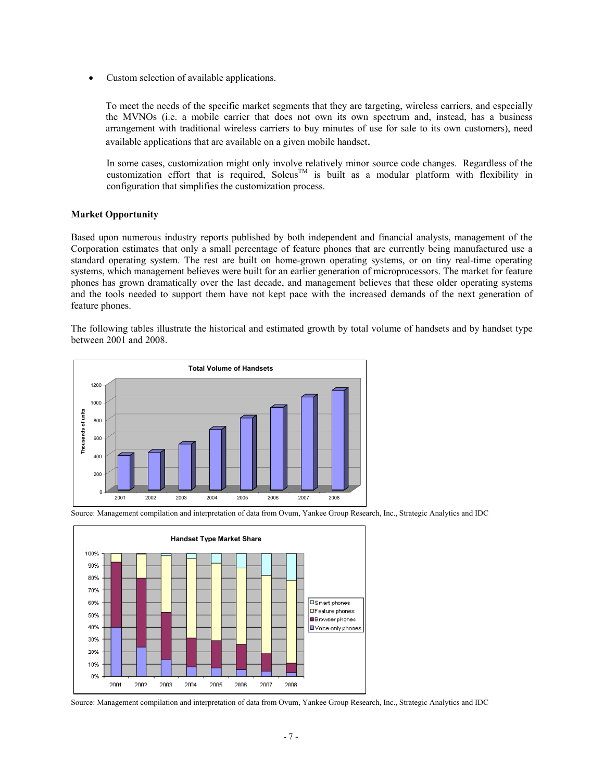• Custom selection of available applications.

To meet the needs of the specific market segments that they are targeting, wireless carriers, and especially the MVNOs (i.e. a mobile carrier that does not own its own spectrum and, instead, has a business arrangement with traditional wireless carriers to buy minutes of use for sale to its own customers), need available applications that are available on a given mobile handset.

In some cases, customization might only involve relatively minor source code changes. Regardless of the customization effort that is required, Soleus<sup>TM</sup> is built as a modular platform with flexibility in configuration that simplifies the customization process.

### **Market Opportunity**

Based upon numerous industry reports published by both independent and financial analysts, management of the Corporation estimates that only a small percentage of feature phones that are currently being manufactured use a standard operating system. The rest are built on home-grown operating systems, or on tiny real-time operating systems, which management believes were built for an earlier generation of microprocessors. The market for feature phones has grown dramatically over the last decade, and management believes that these older operating systems and the tools needed to support them have not kept pace with the increased demands of the next generation of feature phones.

The following tables illustrate the historical and estimated growth by total volume of handsets and by handset type between 2001 and 2008.







Source: Management compilation and interpretation of data from Ovum, Yankee Group Research, Inc., Strategic Analytics and IDC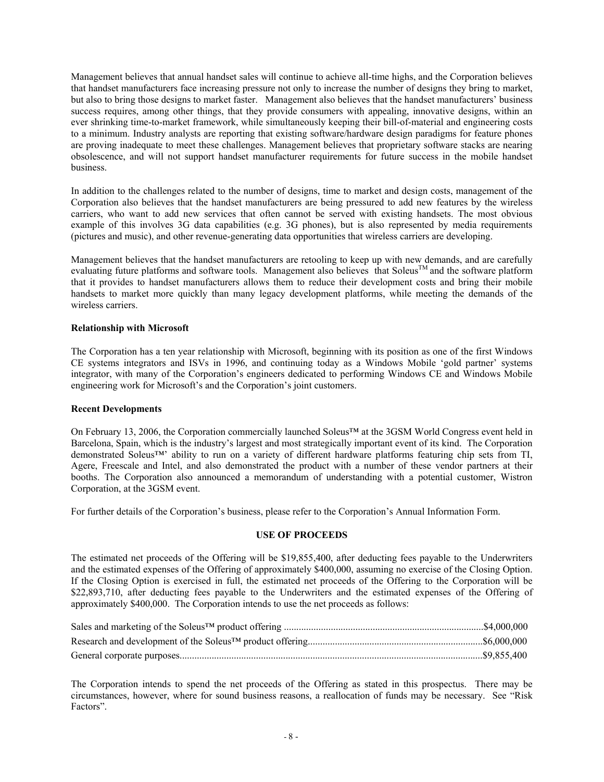Management believes that annual handset sales will continue to achieve all-time highs, and the Corporation believes that handset manufacturers face increasing pressure not only to increase the number of designs they bring to market, but also to bring those designs to market faster. Management also believes that the handset manufacturers' business success requires, among other things, that they provide consumers with appealing, innovative designs, within an ever shrinking time-to-market framework, while simultaneously keeping their bill-of-material and engineering costs to a minimum. Industry analysts are reporting that existing software/hardware design paradigms for feature phones are proving inadequate to meet these challenges. Management believes that proprietary software stacks are nearing obsolescence, and will not support handset manufacturer requirements for future success in the mobile handset business.

In addition to the challenges related to the number of designs, time to market and design costs, management of the Corporation also believes that the handset manufacturers are being pressured to add new features by the wireless carriers, who want to add new services that often cannot be served with existing handsets. The most obvious example of this involves 3G data capabilities (e.g. 3G phones), but is also represented by media requirements (pictures and music), and other revenue-generating data opportunities that wireless carriers are developing.

Management believes that the handset manufacturers are retooling to keep up with new demands, and are carefully evaluating future platforms and software tools. Management also believes that Soleus<sup>TM</sup> and the software platform that it provides to handset manufacturers allows them to reduce their development costs and bring their mobile handsets to market more quickly than many legacy development platforms, while meeting the demands of the wireless carriers.

# **Relationship with Microsoft**

The Corporation has a ten year relationship with Microsoft, beginning with its position as one of the first Windows CE systems integrators and ISVs in 1996, and continuing today as a Windows Mobile 'gold partner' systems integrator, with many of the Corporation's engineers dedicated to performing Windows CE and Windows Mobile engineering work for Microsoft's and the Corporation's joint customers.

### **Recent Developments**

On February 13, 2006, the Corporation commercially launched Soleus™ at the 3GSM World Congress event held in Barcelona, Spain, which is the industry's largest and most strategically important event of its kind. The Corporation demonstrated Soleus™' ability to run on a variety of different hardware platforms featuring chip sets from TI, Agere, Freescale and Intel, and also demonstrated the product with a number of these vendor partners at their booths. The Corporation also announced a memorandum of understanding with a potential customer, Wistron Corporation, at the 3GSM event.

For further details of the Corporation's business, please refer to the Corporation's Annual Information Form.

# **USE OF PROCEEDS**

The estimated net proceeds of the Offering will be \$19,855,400, after deducting fees payable to the Underwriters and the estimated expenses of the Offering of approximately \$400,000, assuming no exercise of the Closing Option. If the Closing Option is exercised in full, the estimated net proceeds of the Offering to the Corporation will be \$22,893,710, after deducting fees payable to the Underwriters and the estimated expenses of the Offering of approximately \$400,000. The Corporation intends to use the net proceeds as follows:

The Corporation intends to spend the net proceeds of the Offering as stated in this prospectus. There may be circumstances, however, where for sound business reasons, a reallocation of funds may be necessary. See "Risk Factors".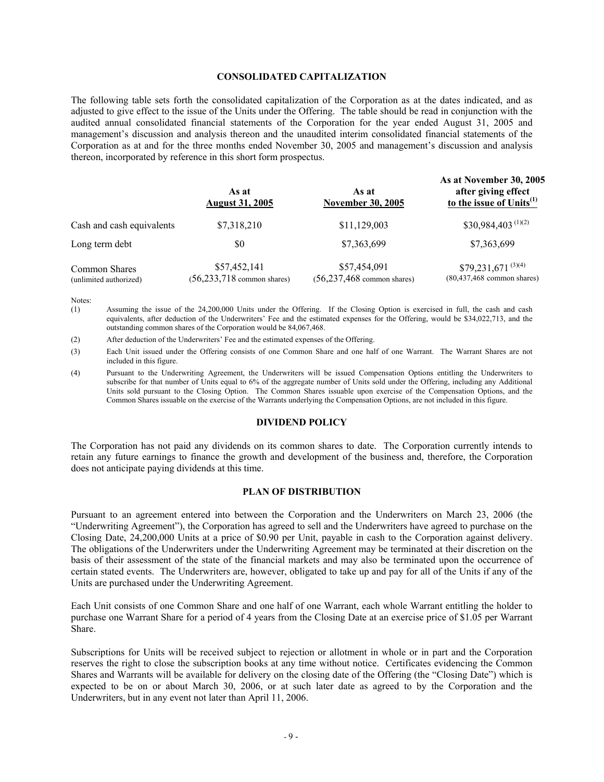### **CONSOLIDATED CAPITALIZATION**

The following table sets forth the consolidated capitalization of the Corporation as at the dates indicated, and as adjusted to give effect to the issue of the Units under the Offering. The table should be read in conjunction with the audited annual consolidated financial statements of the Corporation for the year ended August 31, 2005 and management's discussion and analysis thereon and the unaudited interim consolidated financial statements of the Corporation as at and for the three months ended November 30, 2005 and management's discussion and analysis thereon, incorporated by reference in this short form prospectus.

|                                                | As at<br><b>August 31, 2005</b>                 | As at<br><b>November 30, 2005</b>               | As at November 30, 2005<br>after giving effect<br>to the issue of Units <sup>(1)</sup> |
|------------------------------------------------|-------------------------------------------------|-------------------------------------------------|----------------------------------------------------------------------------------------|
| Cash and cash equivalents                      | \$7,318,210                                     | \$11,129,003                                    | \$30,984,403 <sup>(1)(2)</sup>                                                         |
| Long term debt                                 | \$0                                             | \$7,363,699                                     | \$7,363,699                                                                            |
| <b>Common Shares</b><br>(unlimited authorized) | \$57,452,141<br>$(56, 233, 718)$ common shares) | \$57,454,091<br>$(56, 237, 468)$ common shares) | $$79,231,671^{(3)(4)}$<br>$(80,437,468$ common shares)                                 |

Notes:

- (1) Assuming the issue of the 24,200,000 Units under the Offering. If the Closing Option is exercised in full, the cash and cash equivalents, after deduction of the Underwriters' Fee and the estimated expenses for the Offering, would be \$34,022,713, and the outstanding common shares of the Corporation would be 84,067,468.
- (2) After deduction of the Underwriters' Fee and the estimated expenses of the Offering.
- (3) Each Unit issued under the Offering consists of one Common Share and one half of one Warrant. The Warrant Shares are not included in this figure.

(4) Pursuant to the Underwriting Agreement, the Underwriters will be issued Compensation Options entitling the Underwriters to subscribe for that number of Units equal to 6% of the aggregate number of Units sold under the Offering, including any Additional Units sold pursuant to the Closing Option.The Common Shares issuable upon exercise of the Compensation Options, and the Common Shares issuable on the exercise of the Warrants underlying the Compensation Options, are not included in this figure.

### **DIVIDEND POLICY**

The Corporation has not paid any dividends on its common shares to date. The Corporation currently intends to retain any future earnings to finance the growth and development of the business and, therefore, the Corporation does not anticipate paying dividends at this time.

#### **PLAN OF DISTRIBUTION**

Pursuant to an agreement entered into between the Corporation and the Underwriters on March 23, 2006 (the "Underwriting Agreement"), the Corporation has agreed to sell and the Underwriters have agreed to purchase on the Closing Date, 24,200,000 Units at a price of \$0.90 per Unit, payable in cash to the Corporation against delivery. The obligations of the Underwriters under the Underwriting Agreement may be terminated at their discretion on the basis of their assessment of the state of the financial markets and may also be terminated upon the occurrence of certain stated events. The Underwriters are, however, obligated to take up and pay for all of the Units if any of the Units are purchased under the Underwriting Agreement.

Each Unit consists of one Common Share and one half of one Warrant, each whole Warrant entitling the holder to purchase one Warrant Share for a period of 4 years from the Closing Date at an exercise price of \$1.05 per Warrant Share.

Subscriptions for Units will be received subject to rejection or allotment in whole or in part and the Corporation reserves the right to close the subscription books at any time without notice. Certificates evidencing the Common Shares and Warrants will be available for delivery on the closing date of the Offering (the "Closing Date") which is expected to be on or about March 30, 2006, or at such later date as agreed to by the Corporation and the Underwriters, but in any event not later than April 11, 2006.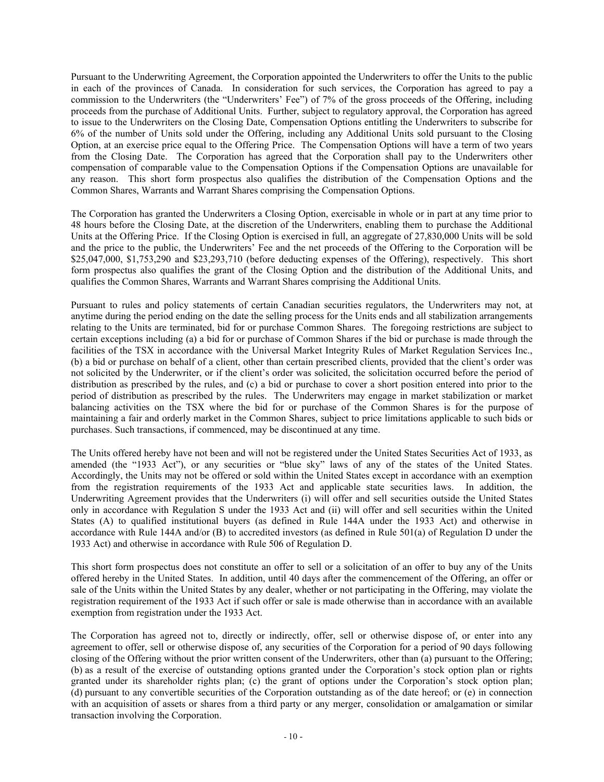Pursuant to the Underwriting Agreement, the Corporation appointed the Underwriters to offer the Units to the public in each of the provinces of Canada. In consideration for such services, the Corporation has agreed to pay a commission to the Underwriters (the "Underwriters' Fee") of 7% of the gross proceeds of the Offering, including proceeds from the purchase of Additional Units. Further, subject to regulatory approval, the Corporation has agreed to issue to the Underwriters on the Closing Date, Compensation Options entitling the Underwriters to subscribe for 6% of the number of Units sold under the Offering, including any Additional Units sold pursuant to the Closing Option, at an exercise price equal to the Offering Price. The Compensation Options will have a term of two years from the Closing Date. The Corporation has agreed that the Corporation shall pay to the Underwriters other compensation of comparable value to the Compensation Options if the Compensation Options are unavailable for any reason. This short form prospectus also qualifies the distribution of the Compensation Options and the Common Shares, Warrants and Warrant Shares comprising the Compensation Options.

The Corporation has granted the Underwriters a Closing Option, exercisable in whole or in part at any time prior to 48 hours before the Closing Date, at the discretion of the Underwriters, enabling them to purchase the Additional Units at the Offering Price. If the Closing Option is exercised in full, an aggregate of 27,830,000 Units will be sold and the price to the public, the Underwriters' Fee and the net proceeds of the Offering to the Corporation will be \$25,047,000, \$1,753,290 and \$23,293,710 (before deducting expenses of the Offering), respectively. This short form prospectus also qualifies the grant of the Closing Option and the distribution of the Additional Units, and qualifies the Common Shares, Warrants and Warrant Shares comprising the Additional Units.

Pursuant to rules and policy statements of certain Canadian securities regulators, the Underwriters may not, at anytime during the period ending on the date the selling process for the Units ends and all stabilization arrangements relating to the Units are terminated, bid for or purchase Common Shares. The foregoing restrictions are subject to certain exceptions including (a) a bid for or purchase of Common Shares if the bid or purchase is made through the facilities of the TSX in accordance with the Universal Market Integrity Rules of Market Regulation Services Inc., (b) a bid or purchase on behalf of a client, other than certain prescribed clients, provided that the client's order was not solicited by the Underwriter, or if the client's order was solicited, the solicitation occurred before the period of distribution as prescribed by the rules, and (c) a bid or purchase to cover a short position entered into prior to the period of distribution as prescribed by the rules. The Underwriters may engage in market stabilization or market balancing activities on the TSX where the bid for or purchase of the Common Shares is for the purpose of maintaining a fair and orderly market in the Common Shares, subject to price limitations applicable to such bids or purchases. Such transactions, if commenced, may be discontinued at any time.

The Units offered hereby have not been and will not be registered under the United States Securities Act of 1933, as amended (the "1933 Act"), or any securities or "blue sky" laws of any of the states of the United States. Accordingly, the Units may not be offered or sold within the United States except in accordance with an exemption from the registration requirements of the 1933 Act and applicable state securities laws. In addition, the Underwriting Agreement provides that the Underwriters (i) will offer and sell securities outside the United States only in accordance with Regulation S under the 1933 Act and (ii) will offer and sell securities within the United States (A) to qualified institutional buyers (as defined in Rule 144A under the 1933 Act) and otherwise in accordance with Rule 144A and/or (B) to accredited investors (as defined in Rule 501(a) of Regulation D under the 1933 Act) and otherwise in accordance with Rule 506 of Regulation D.

This short form prospectus does not constitute an offer to sell or a solicitation of an offer to buy any of the Units offered hereby in the United States. In addition, until 40 days after the commencement of the Offering, an offer or sale of the Units within the United States by any dealer, whether or not participating in the Offering, may violate the registration requirement of the 1933 Act if such offer or sale is made otherwise than in accordance with an available exemption from registration under the 1933 Act.

The Corporation has agreed not to, directly or indirectly, offer, sell or otherwise dispose of, or enter into any agreement to offer, sell or otherwise dispose of, any securities of the Corporation for a period of 90 days following closing of the Offering without the prior written consent of the Underwriters, other than (a) pursuant to the Offering; (b) as a result of the exercise of outstanding options granted under the Corporation's stock option plan or rights granted under its shareholder rights plan; (c) the grant of options under the Corporation's stock option plan; (d) pursuant to any convertible securities of the Corporation outstanding as of the date hereof; or (e) in connection with an acquisition of assets or shares from a third party or any merger, consolidation or amalgamation or similar transaction involving the Corporation.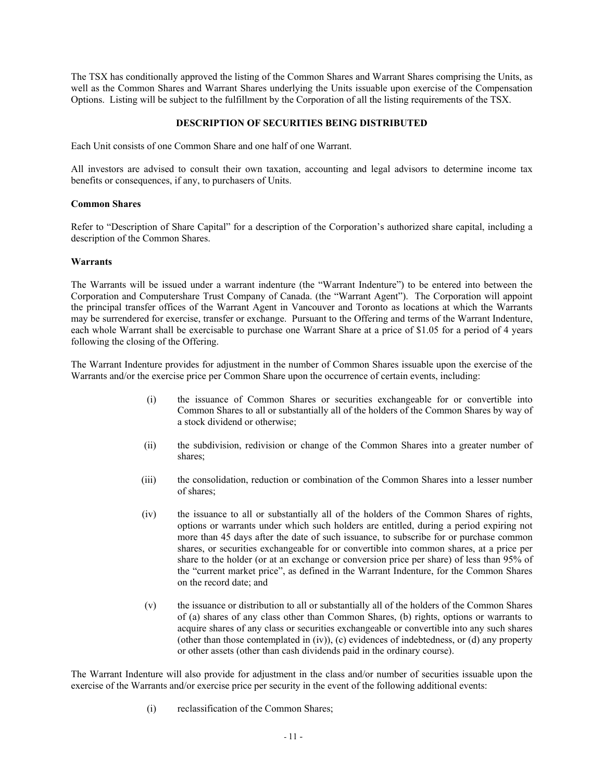The TSX has conditionally approved the listing of the Common Shares and Warrant Shares comprising the Units, as well as the Common Shares and Warrant Shares underlying the Units issuable upon exercise of the Compensation Options. Listing will be subject to the fulfillment by the Corporation of all the listing requirements of the TSX.

# **DESCRIPTION OF SECURITIES BEING DISTRIBUTED**

Each Unit consists of one Common Share and one half of one Warrant.

All investors are advised to consult their own taxation, accounting and legal advisors to determine income tax benefits or consequences, if any, to purchasers of Units.

### **Common Shares**

Refer to "Description of Share Capital" for a description of the Corporation's authorized share capital, including a description of the Common Shares.

### **Warrants**

The Warrants will be issued under a warrant indenture (the "Warrant Indenture") to be entered into between the Corporation and Computershare Trust Company of Canada. (the "Warrant Agent"). The Corporation will appoint the principal transfer offices of the Warrant Agent in Vancouver and Toronto as locations at which the Warrants may be surrendered for exercise, transfer or exchange. Pursuant to the Offering and terms of the Warrant Indenture, each whole Warrant shall be exercisable to purchase one Warrant Share at a price of \$1.05 for a period of 4 years following the closing of the Offering.

The Warrant Indenture provides for adjustment in the number of Common Shares issuable upon the exercise of the Warrants and/or the exercise price per Common Share upon the occurrence of certain events, including:

- (i) the issuance of Common Shares or securities exchangeable for or convertible into Common Shares to all or substantially all of the holders of the Common Shares by way of a stock dividend or otherwise;
- (ii) the subdivision, redivision or change of the Common Shares into a greater number of shares;
- (iii) the consolidation, reduction or combination of the Common Shares into a lesser number of shares;
- (iv) the issuance to all or substantially all of the holders of the Common Shares of rights, options or warrants under which such holders are entitled, during a period expiring not more than 45 days after the date of such issuance, to subscribe for or purchase common shares, or securities exchangeable for or convertible into common shares, at a price per share to the holder (or at an exchange or conversion price per share) of less than 95% of the "current market price", as defined in the Warrant Indenture, for the Common Shares on the record date; and
- (v) the issuance or distribution to all or substantially all of the holders of the Common Shares of (a) shares of any class other than Common Shares, (b) rights, options or warrants to acquire shares of any class or securities exchangeable or convertible into any such shares (other than those contemplated in (iv)), (c) evidences of indebtedness, or (d) any property or other assets (other than cash dividends paid in the ordinary course).

The Warrant Indenture will also provide for adjustment in the class and/or number of securities issuable upon the exercise of the Warrants and/or exercise price per security in the event of the following additional events:

(i) reclassification of the Common Shares;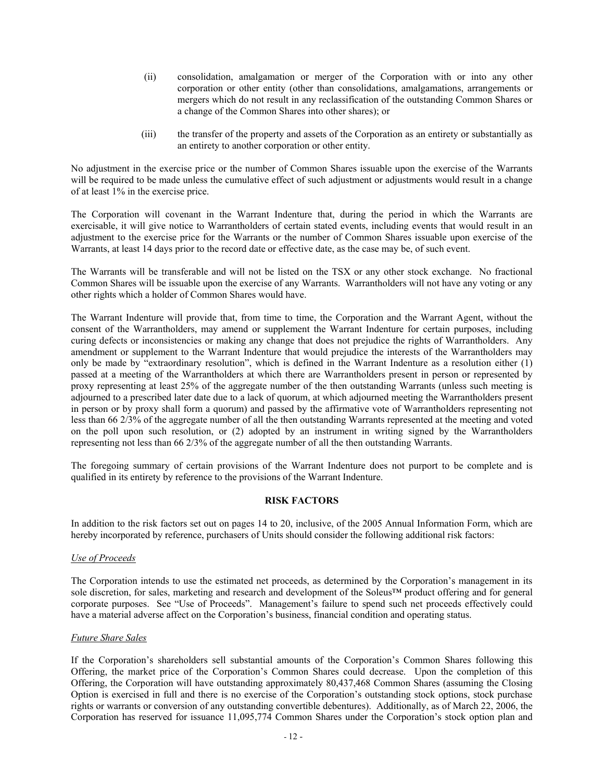- (ii) consolidation, amalgamation or merger of the Corporation with or into any other corporation or other entity (other than consolidations, amalgamations, arrangements or mergers which do not result in any reclassification of the outstanding Common Shares or a change of the Common Shares into other shares); or
- (iii) the transfer of the property and assets of the Corporation as an entirety or substantially as an entirety to another corporation or other entity.

No adjustment in the exercise price or the number of Common Shares issuable upon the exercise of the Warrants will be required to be made unless the cumulative effect of such adjustment or adjustments would result in a change of at least 1% in the exercise price.

The Corporation will covenant in the Warrant Indenture that, during the period in which the Warrants are exercisable, it will give notice to Warrantholders of certain stated events, including events that would result in an adjustment to the exercise price for the Warrants or the number of Common Shares issuable upon exercise of the Warrants, at least 14 days prior to the record date or effective date, as the case may be, of such event.

The Warrants will be transferable and will not be listed on the TSX or any other stock exchange. No fractional Common Shares will be issuable upon the exercise of any Warrants. Warrantholders will not have any voting or any other rights which a holder of Common Shares would have.

The Warrant Indenture will provide that, from time to time, the Corporation and the Warrant Agent, without the consent of the Warrantholders, may amend or supplement the Warrant Indenture for certain purposes, including curing defects or inconsistencies or making any change that does not prejudice the rights of Warrantholders. Any amendment or supplement to the Warrant Indenture that would prejudice the interests of the Warrantholders may only be made by "extraordinary resolution", which is defined in the Warrant Indenture as a resolution either (1) passed at a meeting of the Warrantholders at which there are Warrantholders present in person or represented by proxy representing at least 25% of the aggregate number of the then outstanding Warrants (unless such meeting is adjourned to a prescribed later date due to a lack of quorum, at which adjourned meeting the Warrantholders present in person or by proxy shall form a quorum) and passed by the affirmative vote of Warrantholders representing not less than 66 2/3% of the aggregate number of all the then outstanding Warrants represented at the meeting and voted on the poll upon such resolution, or (2) adopted by an instrument in writing signed by the Warrantholders representing not less than 66 2/3% of the aggregate number of all the then outstanding Warrants.

The foregoing summary of certain provisions of the Warrant Indenture does not purport to be complete and is qualified in its entirety by reference to the provisions of the Warrant Indenture.

# **RISK FACTORS**

In addition to the risk factors set out on pages 14 to 20, inclusive, of the 2005 Annual Information Form, which are hereby incorporated by reference, purchasers of Units should consider the following additional risk factors:

# *Use of Proceeds*

The Corporation intends to use the estimated net proceeds, as determined by the Corporation's management in its sole discretion, for sales, marketing and research and development of the Soleus™ product offering and for general corporate purposes. See "Use of Proceeds". Management's failure to spend such net proceeds effectively could have a material adverse affect on the Corporation's business, financial condition and operating status.

# *Future Share Sales*

If the Corporation's shareholders sell substantial amounts of the Corporation's Common Shares following this Offering, the market price of the Corporation's Common Shares could decrease. Upon the completion of this Offering, the Corporation will have outstanding approximately 80,437,468 Common Shares (assuming the Closing Option is exercised in full and there is no exercise of the Corporation's outstanding stock options, stock purchase rights or warrants or conversion of any outstanding convertible debentures). Additionally, as of March 22, 2006, the Corporation has reserved for issuance 11,095,774 Common Shares under the Corporation's stock option plan and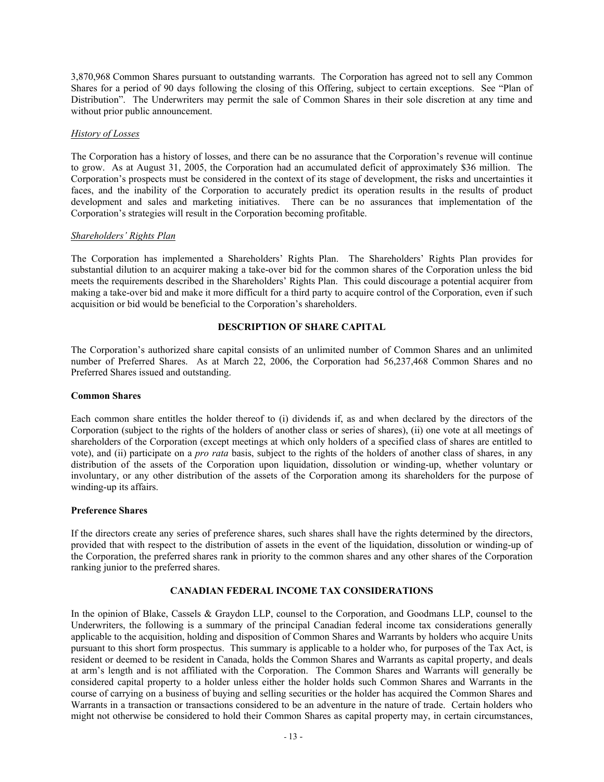3,870,968 Common Shares pursuant to outstanding warrants. The Corporation has agreed not to sell any Common Shares for a period of 90 days following the closing of this Offering, subject to certain exceptions. See "Plan of Distribution". The Underwriters may permit the sale of Common Shares in their sole discretion at any time and without prior public announcement.

### *History of Losses*

The Corporation has a history of losses, and there can be no assurance that the Corporation's revenue will continue to grow. As at August 31, 2005, the Corporation had an accumulated deficit of approximately \$36 million. The Corporation's prospects must be considered in the context of its stage of development, the risks and uncertainties it faces, and the inability of the Corporation to accurately predict its operation results in the results of product development and sales and marketing initiatives. There can be no assurances that implementation of the Corporation's strategies will result in the Corporation becoming profitable.

### *Shareholders' Rights Plan*

The Corporation has implemented a Shareholders' Rights Plan. The Shareholders' Rights Plan provides for substantial dilution to an acquirer making a take-over bid for the common shares of the Corporation unless the bid meets the requirements described in the Shareholders' Rights Plan. This could discourage a potential acquirer from making a take-over bid and make it more difficult for a third party to acquire control of the Corporation, even if such acquisition or bid would be beneficial to the Corporation's shareholders.

# **DESCRIPTION OF SHARE CAPITAL**

The Corporation's authorized share capital consists of an unlimited number of Common Shares and an unlimited number of Preferred Shares. As at March 22, 2006, the Corporation had 56,237,468 Common Shares and no Preferred Shares issued and outstanding.

### **Common Shares**

Each common share entitles the holder thereof to (i) dividends if, as and when declared by the directors of the Corporation (subject to the rights of the holders of another class or series of shares), (ii) one vote at all meetings of shareholders of the Corporation (except meetings at which only holders of a specified class of shares are entitled to vote), and (ii) participate on a *pro rata* basis, subject to the rights of the holders of another class of shares, in any distribution of the assets of the Corporation upon liquidation, dissolution or winding-up, whether voluntary or involuntary, or any other distribution of the assets of the Corporation among its shareholders for the purpose of winding-up its affairs.

### **Preference Shares**

If the directors create any series of preference shares, such shares shall have the rights determined by the directors, provided that with respect to the distribution of assets in the event of the liquidation, dissolution or winding-up of the Corporation, the preferred shares rank in priority to the common shares and any other shares of the Corporation ranking junior to the preferred shares.

### **CANADIAN FEDERAL INCOME TAX CONSIDERATIONS**

In the opinion of Blake, Cassels & Graydon LLP, counsel to the Corporation, and Goodmans LLP, counsel to the Underwriters, the following is a summary of the principal Canadian federal income tax considerations generally applicable to the acquisition, holding and disposition of Common Shares and Warrants by holders who acquire Units pursuant to this short form prospectus. This summary is applicable to a holder who, for purposes of the Tax Act, is resident or deemed to be resident in Canada, holds the Common Shares and Warrants as capital property, and deals at arm's length and is not affiliated with the Corporation. The Common Shares and Warrants will generally be considered capital property to a holder unless either the holder holds such Common Shares and Warrants in the course of carrying on a business of buying and selling securities or the holder has acquired the Common Shares and Warrants in a transaction or transactions considered to be an adventure in the nature of trade. Certain holders who might not otherwise be considered to hold their Common Shares as capital property may, in certain circumstances,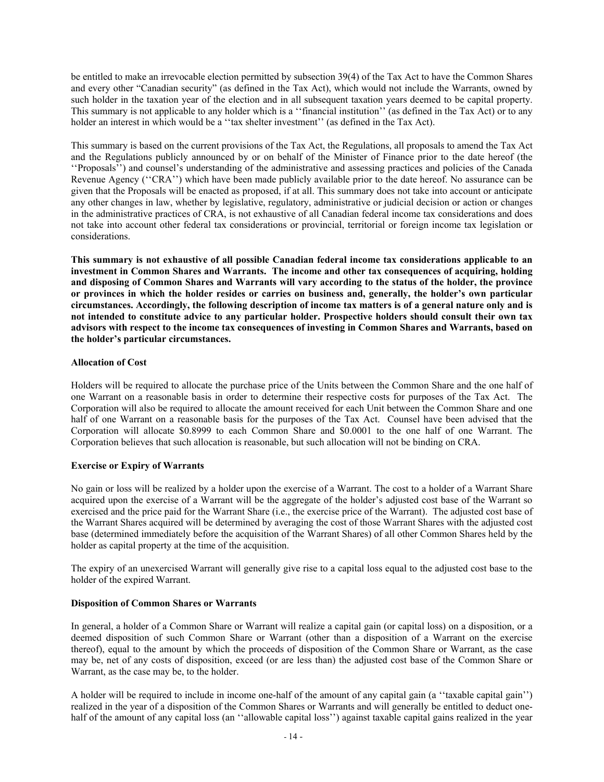be entitled to make an irrevocable election permitted by subsection 39(4) of the Tax Act to have the Common Shares and every other "Canadian security" (as defined in the Tax Act), which would not include the Warrants, owned by such holder in the taxation year of the election and in all subsequent taxation years deemed to be capital property. This summary is not applicable to any holder which is a ''financial institution'' (as defined in the Tax Act) or to any holder an interest in which would be a "tax shelter investment" (as defined in the Tax Act).

This summary is based on the current provisions of the Tax Act, the Regulations, all proposals to amend the Tax Act and the Regulations publicly announced by or on behalf of the Minister of Finance prior to the date hereof (the ''Proposals'') and counsel's understanding of the administrative and assessing practices and policies of the Canada Revenue Agency (''CRA'') which have been made publicly available prior to the date hereof. No assurance can be given that the Proposals will be enacted as proposed, if at all. This summary does not take into account or anticipate any other changes in law, whether by legislative, regulatory, administrative or judicial decision or action or changes in the administrative practices of CRA, is not exhaustive of all Canadian federal income tax considerations and does not take into account other federal tax considerations or provincial, territorial or foreign income tax legislation or considerations.

**This summary is not exhaustive of all possible Canadian federal income tax considerations applicable to an investment in Common Shares and Warrants. The income and other tax consequences of acquiring, holding and disposing of Common Shares and Warrants will vary according to the status of the holder, the province or provinces in which the holder resides or carries on business and, generally, the holder's own particular circumstances. Accordingly, the following description of income tax matters is of a general nature only and is not intended to constitute advice to any particular holder. Prospective holders should consult their own tax advisors with respect to the income tax consequences of investing in Common Shares and Warrants, based on the holder's particular circumstances.** 

# **Allocation of Cost**

Holders will be required to allocate the purchase price of the Units between the Common Share and the one half of one Warrant on a reasonable basis in order to determine their respective costs for purposes of the Tax Act. The Corporation will also be required to allocate the amount received for each Unit between the Common Share and one half of one Warrant on a reasonable basis for the purposes of the Tax Act. Counsel have been advised that the Corporation will allocate \$0.8999 to each Common Share and \$0.0001 to the one half of one Warrant. The Corporation believes that such allocation is reasonable, but such allocation will not be binding on CRA.

# **Exercise or Expiry of Warrants**

No gain or loss will be realized by a holder upon the exercise of a Warrant. The cost to a holder of a Warrant Share acquired upon the exercise of a Warrant will be the aggregate of the holder's adjusted cost base of the Warrant so exercised and the price paid for the Warrant Share (i.e., the exercise price of the Warrant). The adjusted cost base of the Warrant Shares acquired will be determined by averaging the cost of those Warrant Shares with the adjusted cost base (determined immediately before the acquisition of the Warrant Shares) of all other Common Shares held by the holder as capital property at the time of the acquisition.

The expiry of an unexercised Warrant will generally give rise to a capital loss equal to the adjusted cost base to the holder of the expired Warrant.

# **Disposition of Common Shares or Warrants**

In general, a holder of a Common Share or Warrant will realize a capital gain (or capital loss) on a disposition, or a deemed disposition of such Common Share or Warrant (other than a disposition of a Warrant on the exercise thereof), equal to the amount by which the proceeds of disposition of the Common Share or Warrant, as the case may be, net of any costs of disposition, exceed (or are less than) the adjusted cost base of the Common Share or Warrant, as the case may be, to the holder.

A holder will be required to include in income one-half of the amount of any capital gain (a ''taxable capital gain'') realized in the year of a disposition of the Common Shares or Warrants and will generally be entitled to deduct onehalf of the amount of any capital loss (an "allowable capital loss") against taxable capital gains realized in the year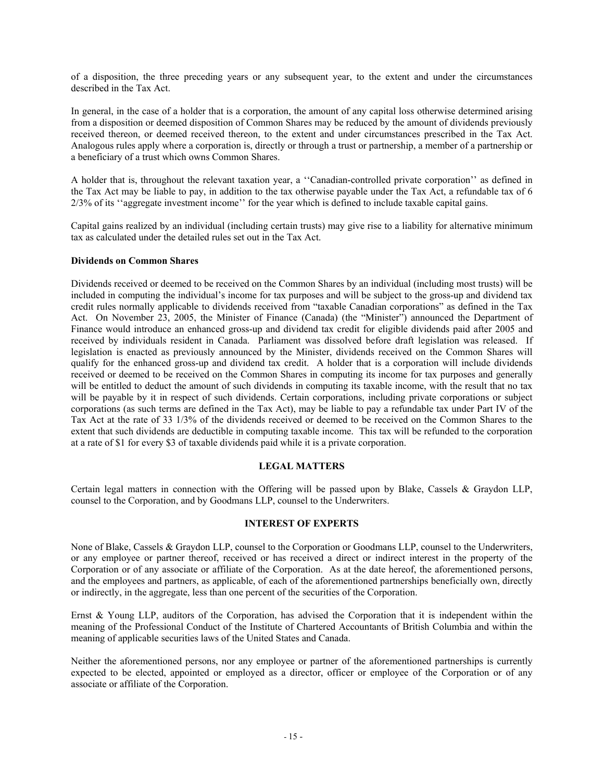of a disposition, the three preceding years or any subsequent year, to the extent and under the circumstances described in the Tax Act.

In general, in the case of a holder that is a corporation, the amount of any capital loss otherwise determined arising from a disposition or deemed disposition of Common Shares may be reduced by the amount of dividends previously received thereon, or deemed received thereon, to the extent and under circumstances prescribed in the Tax Act. Analogous rules apply where a corporation is, directly or through a trust or partnership, a member of a partnership or a beneficiary of a trust which owns Common Shares.

A holder that is, throughout the relevant taxation year, a ''Canadian-controlled private corporation'' as defined in the Tax Act may be liable to pay, in addition to the tax otherwise payable under the Tax Act, a refundable tax of 6 2/3% of its ''aggregate investment income'' for the year which is defined to include taxable capital gains.

Capital gains realized by an individual (including certain trusts) may give rise to a liability for alternative minimum tax as calculated under the detailed rules set out in the Tax Act.

### **Dividends on Common Shares**

Dividends received or deemed to be received on the Common Shares by an individual (including most trusts) will be included in computing the individual's income for tax purposes and will be subject to the gross-up and dividend tax credit rules normally applicable to dividends received from "taxable Canadian corporations" as defined in the Tax Act. On November 23, 2005, the Minister of Finance (Canada) (the "Minister") announced the Department of Finance would introduce an enhanced gross-up and dividend tax credit for eligible dividends paid after 2005 and received by individuals resident in Canada. Parliament was dissolved before draft legislation was released. If legislation is enacted as previously announced by the Minister, dividends received on the Common Shares will qualify for the enhanced gross-up and dividend tax credit. A holder that is a corporation will include dividends received or deemed to be received on the Common Shares in computing its income for tax purposes and generally will be entitled to deduct the amount of such dividends in computing its taxable income, with the result that no tax will be payable by it in respect of such dividends. Certain corporations, including private corporations or subject corporations (as such terms are defined in the Tax Act), may be liable to pay a refundable tax under Part IV of the Tax Act at the rate of 33 1/3% of the dividends received or deemed to be received on the Common Shares to the extent that such dividends are deductible in computing taxable income. This tax will be refunded to the corporation at a rate of \$1 for every \$3 of taxable dividends paid while it is a private corporation.

# **LEGAL MATTERS**

Certain legal matters in connection with the Offering will be passed upon by Blake, Cassels & Graydon LLP, counsel to the Corporation, and by Goodmans LLP, counsel to the Underwriters.

# **INTEREST OF EXPERTS**

None of Blake, Cassels & Graydon LLP, counsel to the Corporation or Goodmans LLP, counsel to the Underwriters, or any employee or partner thereof, received or has received a direct or indirect interest in the property of the Corporation or of any associate or affiliate of the Corporation. As at the date hereof, the aforementioned persons, and the employees and partners, as applicable, of each of the aforementioned partnerships beneficially own, directly or indirectly, in the aggregate, less than one percent of the securities of the Corporation.

Ernst & Young LLP, auditors of the Corporation, has advised the Corporation that it is independent within the meaning of the Professional Conduct of the Institute of Chartered Accountants of British Columbia and within the meaning of applicable securities laws of the United States and Canada.

Neither the aforementioned persons, nor any employee or partner of the aforementioned partnerships is currently expected to be elected, appointed or employed as a director, officer or employee of the Corporation or of any associate or affiliate of the Corporation.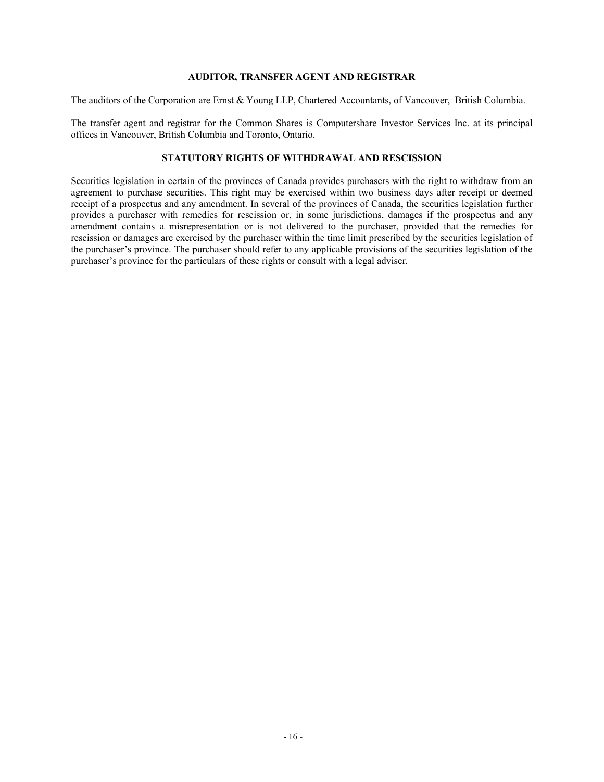# **AUDITOR, TRANSFER AGENT AND REGISTRAR**

The auditors of the Corporation are Ernst & Young LLP, Chartered Accountants, of Vancouver, British Columbia.

The transfer agent and registrar for the Common Shares is Computershare Investor Services Inc. at its principal offices in Vancouver, British Columbia and Toronto, Ontario.

# **STATUTORY RIGHTS OF WITHDRAWAL AND RESCISSION**

Securities legislation in certain of the provinces of Canada provides purchasers with the right to withdraw from an agreement to purchase securities. This right may be exercised within two business days after receipt or deemed receipt of a prospectus and any amendment. In several of the provinces of Canada, the securities legislation further provides a purchaser with remedies for rescission or, in some jurisdictions, damages if the prospectus and any amendment contains a misrepresentation or is not delivered to the purchaser, provided that the remedies for rescission or damages are exercised by the purchaser within the time limit prescribed by the securities legislation of the purchaser's province. The purchaser should refer to any applicable provisions of the securities legislation of the purchaser's province for the particulars of these rights or consult with a legal adviser.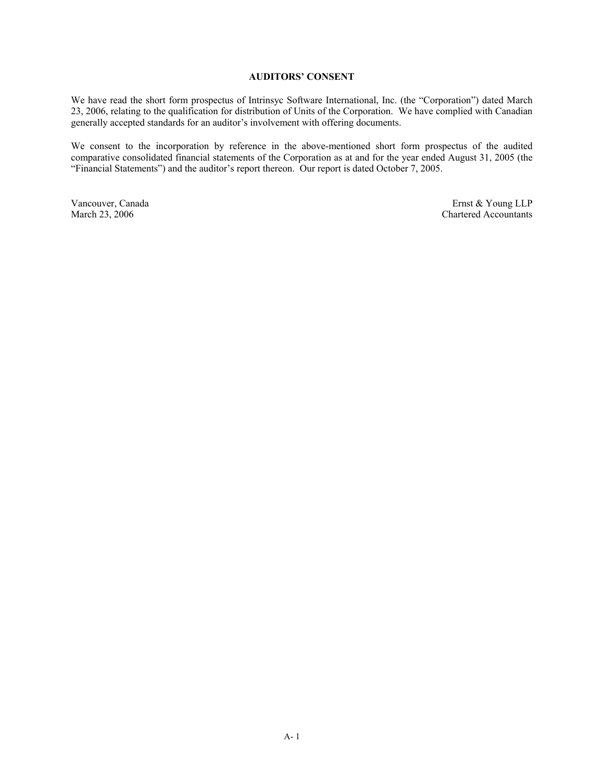# **AUDITORS' CONSENT**

We have read the short form prospectus of Intrinsyc Software International, Inc. (the "Corporation") dated March 23, 2006, relating to the qualification for distribution of Units of the Corporation. We have complied with Canadian generally accepted standards for an auditor's involvement with offering documents.

We consent to the incorporation by reference in the above-mentioned short form prospectus of the audited comparative consolidated financial statements of the Corporation as at and for the year ended August 31, 2005 (the "Financial Statements") and the auditor's report thereon. Our report is dated October 7, 2005.

Vancouver, Canada Ernst & Young LLP March 23, 2006 Chartered Accountants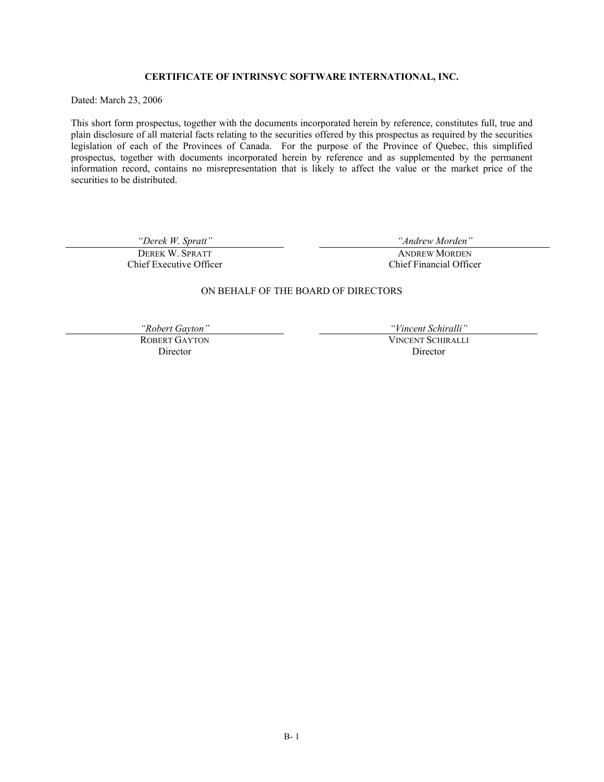# **CERTIFICATE OF INTRINSYC SOFTWARE INTERNATIONAL, INC.**

Dated: March 23, 2006

This short form prospectus, together with the documents incorporated herein by reference, constitutes full, true and plain disclosure of all material facts relating to the securities offered by this prospectus as required by the securities legislation of each of the Provinces of Canada. For the purpose of the Province of Quebec, this simplified prospectus, together with documents incorporated herein by reference and as supplemented by the permanent information record, contains no misrepresentation that is likely to affect the value or the market price of the securities to be distributed.

*"Derek W. Spratt" "Andrew Morden"* 

DEREK W. SPRATT Chief Executive Officer

 ANDREW MORDEN Chief Financial Officer

# ON BEHALF OF THE BOARD OF DIRECTORS

ROBERT GAYTON Director

*"Robert Gayton" "Vincent Schiralli"* 

 VINCENT SCHIRALLI Director